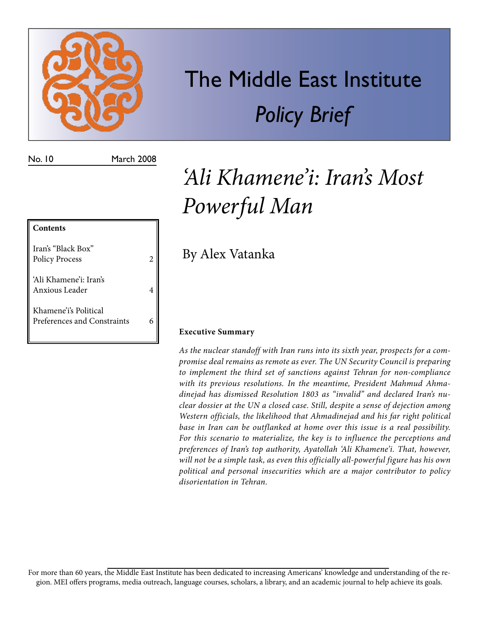

# The Middle East Institute *Policy Brief*

No. 10 March 2008

## **Contents** Iran's "Black Box" Policy Process 2 'Ali Khamene'i: Iran's Anxious Leader 4 Khamene'i's Political Preferences and Constraints 6

## *'Ali Khamene'i: Iran's Most Powerful Man*

By Alex Vatanka

### **Executive Summary**

*As the nuclear standoff with Iran runs into its sixth year, prospects for a compromise deal remains as remote as ever. The UN Security Council is preparing to implement the third set of sanctions against Tehran for non-compliance with its previous resolutions. In the meantime, President Mahmud Ahmadinejad has dismissed Resolution 1803 as "invalid" and declared Iran's nuclear dossier at the UN a closed case. Still, despite a sense of dejection among Western officials, the likelihood that Ahmadinejad and his far right political base in Iran can be outflanked at home over this issue is a real possibility. For this scenario to materialize, the key is to influence the perceptions and preferences of Iran's top authority, Ayatollah 'Ali Khamene'i. That, however, will not be a simple task, as even this officially all-powerful figure has his own political and personal insecurities which are a major contributor to policy disorientation in Tehran.*

For more than 60 years, the Middle East Institute has been dedicated to increasing Americans' knowledge and understanding of the region. MEI offers programs, media outreach, language courses, scholars, a library, and an academic journal to help achieve its goals.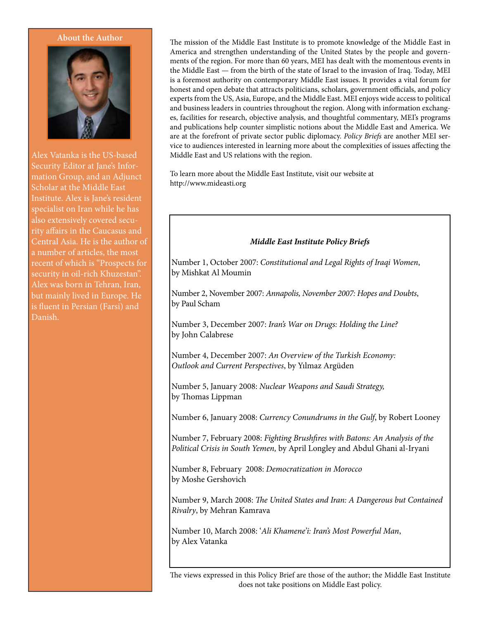

Alex Vatanka is the US-based Security Editor at Jane's Information Group, and an Adjunct Scholar at the Middle East Institute. Alex is Jane's resident specialist on Iran while he has also extensively covered security affairs in the Caucasus and Central Asia. He is the author of a number of articles, the most recent of which is "Prospects for security in oil-rich Khuzestan". Alex was born in Tehran, Iran, but mainly lived in Europe. He is fluent in Persian (Farsi) and Danish.

About the Author The mission of the Middle East Institute is to promote knowledge of the Middle East in America and strengthen understanding of the United States by the people and governments of the region. For more than 60 years, MEI has dealt with the momentous events in the Middle East — from the birth of the state of Israel to the invasion of Iraq. Today, MEI is a foremost authority on contemporary Middle East issues. It provides a vital forum for honest and open debate that attracts politicians, scholars, government officials, and policy experts from the US, Asia, Europe, and the Middle East. MEI enjoys wide access to political and business leaders in countries throughout the region. Along with information exchanges, facilities for research, objective analysis, and thoughtful commentary, MEI's programs and publications help counter simplistic notions about the Middle East and America. We are at the forefront of private sector public diplomacy. *Policy Briefs* are another MEI service to audiences interested in learning more about the complexities of issues affecting the Middle East and US relations with the region.

> To learn more about the Middle East Institute, visit our website at http://www.mideasti.org

#### *Middle East Institute Policy Briefs*

Number 1, October 2007: *Constitutional and Legal Rights of Iraqi Women*, by Mishkat Al Moumin

Number 2, November 2007: *Annapolis, November 2007: Hopes and Doubts*, by Paul Scham

Number 3, December 2007: *Iran's War on Drugs: Holding the Line?* by John Calabrese

Number 4, December 2007: *An Overview of the Turkish Economy: Outlook and Current Perspectives*, by Yılmaz Argüden

Number 5, January 2008: *Nuclear Weapons and Saudi Strategy,* by Thomas Lippman

Number 6, January 2008: *Currency Conundrums in the Gulf*, by Robert Looney

Number 7, February 2008: *Fighting Brushfires with Batons: An Analysis of the Political Crisis in South Yemen,* by April Longley and Abdul Ghani al-Iryani

Number 8, February 2008: *Democratization in Morocco* by Moshe Gershovich

Number 9, March 2008: *The United States and Iran: A Dangerous but Contained Rivalry*, by Mehran Kamrava

Number 10, March 2008: '*Ali Khamene'i: Iran's Most Powerful Man*, by Alex Vatanka

The views expressed in this Policy Brief are those of the author; the Middle East Institute does not take positions on Middle East policy.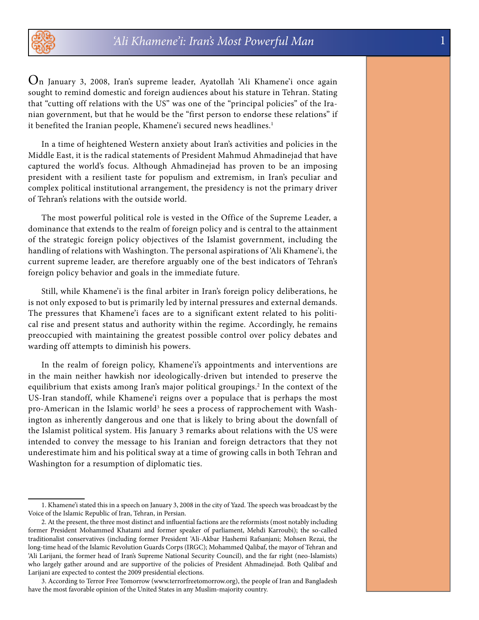

On January 3, 2008, Iran's supreme leader, Ayatollah 'Ali Khamene'i once again sought to remind domestic and foreign audiences about his stature in Tehran. Stating that "cutting off relations with the US" was one of the "principal policies" of the Iranian government, but that he would be the "first person to endorse these relations" if it benefited the Iranian people, Khamene'i secured news headlines.<sup>1</sup>

In a time of heightened Western anxiety about Iran's activities and policies in the Middle East, it is the radical statements of President Mahmud Ahmadinejad that have captured the world's focus. Although Ahmadinejad has proven to be an imposing president with a resilient taste for populism and extremism, in Iran's peculiar and complex political institutional arrangement, the presidency is not the primary driver of Tehran's relations with the outside world.

The most powerful political role is vested in the Office of the Supreme Leader, a dominance that extends to the realm of foreign policy and is central to the attainment of the strategic foreign policy objectives of the Islamist government, including the handling of relations with Washington. The personal aspirations of 'Ali Khamene'i, the current supreme leader, are therefore arguably one of the best indicators of Tehran's foreign policy behavior and goals in the immediate future.

Still, while Khamene'i is the final arbiter in Iran's foreign policy deliberations, he is not only exposed to but is primarily led by internal pressures and external demands. The pressures that Khamene'i faces are to a significant extent related to his political rise and present status and authority within the regime. Accordingly, he remains preoccupied with maintaining the greatest possible control over policy debates and warding off attempts to diminish his powers.

In the realm of foreign policy, Khamene'i's appointments and interventions are in the main neither hawkish nor ideologically-driven but intended to preserve the equilibrium that exists among Iran's major political groupings.2 In the context of the US-Iran standoff, while Khamene'i reigns over a populace that is perhaps the most pro-American in the Islamic world<sup>3</sup> he sees a process of rapprochement with Washington as inherently dangerous and one that is likely to bring about the downfall of the Islamist political system. His January 3 remarks about relations with the US were intended to convey the message to his Iranian and foreign detractors that they not underestimate him and his political sway at a time of growing calls in both Tehran and Washington for a resumption of diplomatic ties.

<sup>1.</sup> Khamene'i stated this in a speech on January 3, 2008 in the city of Yazd. The speech was broadcast by the Voice of the Islamic Republic of Iran, Tehran, in Persian.

<sup>2.</sup> At the present, the three most distinct and influential factions are the reformists (most notably including former President Mohammed Khatami and former speaker of parliament, Mehdi Karroubi); the so-called traditionalist conservatives (including former President 'Ali-Akbar Hashemi Rafsanjani; Mohsen Rezai, the long-time head of the Islamic Revolution Guards Corps (IRGC); Mohammed Qalibaf, the mayor of Tehran and 'Ali Larijani, the former head of Iran's Supreme National Security Council), and the far right (neo-Islamists) who largely gather around and are supportive of the policies of President Ahmadinejad. Both Qalibaf and Larijani are expected to contest the 2009 presidential elections.

<sup>3.</sup> According to Terror Free Tomorrow (www.terrorfreetomorrow.org), the people of Iran and Bangladesh have the most favorable opinion of the United States in any Muslim-majority country.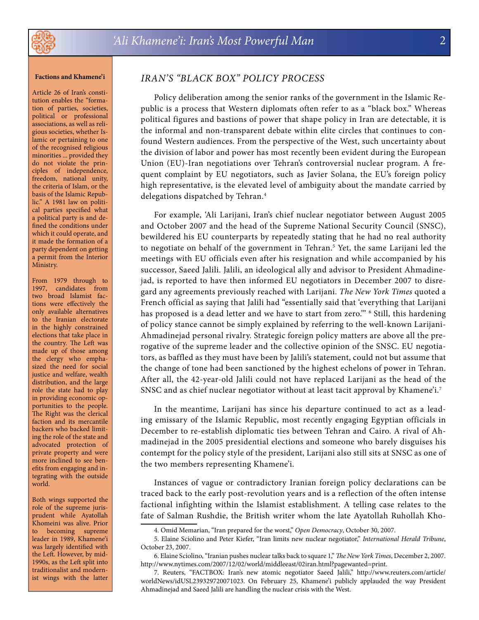#### **Factions and Khamene'i**

Article 26 of Iran's constitution enables the "formation of parties, societies, political or professional associations, as well as religious societies, whether Islamic or pertaining to one of the recognised religious minorities ... provided they do not violate the principles of independence, freedom, national unity, the criteria of Islam, or the basis of the Islamic Republic." A 1981 law on political parties specified what a political party is and defined the conditions under which it could operate, and it made the formation of a party dependent on getting a permit from the Interior Ministry.

From 1979 through to 1997, candidates from two broad Islamist factions were effectively the only available alternatives to the Iranian electorate in the highly constrained elections that take place in the country. The Left was made up of those among the clergy who emphasized the need for social justice and welfare, wealth distribution, and the large role the state had to play in providing economic opportunities to the people. The Right was the clerical faction and its mercantile backers who backed limiting the role of the state and advocated protection of private property and were more inclined to see benefits from engaging and integrating with the outside world.

Both wings supported the role of the supreme jurisprudent while Ayatollah Khomeini was alive. Prior to becoming supreme leader in 1989, Khamene'i was largely identified with the Left. However, by mid-1990s, as the Left split into traditionalist and modernist wings with the latter

### *Iran's "Black Box" Policy Process*

Policy deliberation among the senior ranks of the government in the Islamic Republic is a process that Western diplomats often refer to as a "black box." Whereas political figures and bastions of power that shape policy in Iran are detectable, it is the informal and non-transparent debate within elite circles that continues to confound Western audiences. From the perspective of the West, such uncertainty about the division of labor and power has most recently been evident during the European Union (EU)-Iran negotiations over Tehran's controversial nuclear program. A frequent complaint by EU negotiators, such as Javier Solana, the EU's foreign policy high representative, is the elevated level of ambiguity about the mandate carried by delegations dispatched by Tehran.<sup>4</sup>

For example, 'Ali Larijani, Iran's chief nuclear negotiator between August 2005 and October 2007 and the head of the Supreme National Security Council (SNSC), bewildered his EU counterparts by repeatedly stating that he had no real authority to negotiate on behalf of the government in Tehran.<sup>5</sup> Yet, the same Larijani led the meetings with EU officials even after his resignation and while accompanied by his successor, Saeed Jalili. Jalili, an ideological ally and advisor to President Ahmadinejad, is reported to have then informed EU negotiators in December 2007 to disregard any agreements previously reached with Larijani. *The New York Times* quoted a French official as saying that Jalili had "essentially said that 'everything that Larijani has proposed is a dead letter and we have to start from zero.'" 6 Still, this hardening of policy stance cannot be simply explained by referring to the well-known Larijani-Ahmadinejad personal rivalry. Strategic foreign policy matters are above all the prerogative of the supreme leader and the collective opinion of the SNSC. EU negotiators, as baffled as they must have been by Jalili's statement, could not but assume that the change of tone had been sanctioned by the highest echelons of power in Tehran. After all, the 42-year-old Jalili could not have replaced Larijani as the head of the SNSC and as chief nuclear negotiator without at least tacit approval by Khamene'i.7

In the meantime, Larijani has since his departure continued to act as a leading emissary of the Islamic Republic, most recently engaging Egyptian officials in December to re-establish diplomatic ties between Tehran and Cairo. A rival of Ahmadinejad in the 2005 presidential elections and someone who barely disguises his contempt for the policy style of the president, Larijani also still sits at SNSC as one of the two members representing Khamene'i.

Instances of vague or contradictory Iranian foreign policy declarations can be traced back to the early post-revolution years and is a reflection of the often intense factional infighting within the Islamist establishment. A telling case relates to the fate of Salman Rushdie, the British writer whom the late Ayatollah Ruhollah Kho-

<sup>4.</sup> Omid Memarian, "Iran prepared for the worst," *Open Democracy*, October 30, 2007.

<sup>5.</sup> Elaine Sciolino and Peter Kiefer, "Iran limits new nuclear negotiator," *International Herald Tribune*, October 23, 2007.

<sup>6.</sup> Elaine Sciolino, "Iranian pushes nuclear talks back to square 1," *The New York Times*, December 2, 2007. http://www.nytimes.com/2007/12/02/world/middleeast/02iran.html?pagewanted=print.

<sup>7.</sup> Reuters, "FACTBOX: Iran's new atomic negotiator Saeed Jalili," http://www.reuters.com/article/ worldNews/idUSL239329720071023. On February 25, Khamene'i publicly applauded the way President Ahmadinejad and Saeed Jalili are handling the nuclear crisis with the West.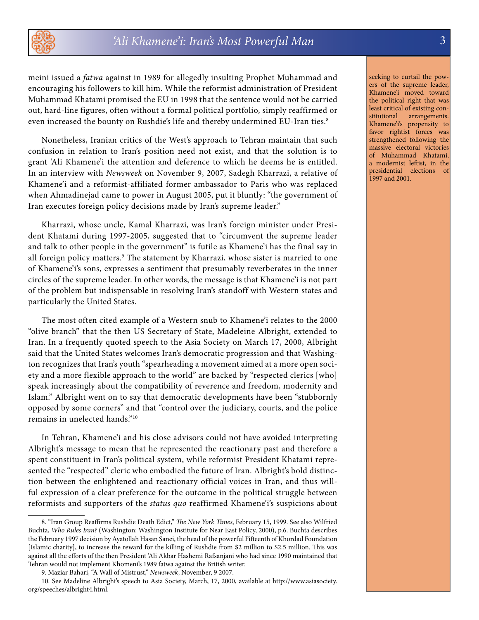

meini issued a *fatwa* against in 1989 for allegedly insulting Prophet Muhammad and encouraging his followers to kill him. While the reformist administration of President Muhammad Khatami promised the EU in 1998 that the sentence would not be carried out, hard-line figures, often without a formal political portfolio, simply reaffirmed or even increased the bounty on Rushdie's life and thereby undermined EU-Iran ties.<sup>8</sup>

Nonetheless, Iranian critics of the West's approach to Tehran maintain that such confusion in relation to Iran's position need not exist, and that the solution is to grant 'Ali Khamene'i the attention and deference to which he deems he is entitled. In an interview with *Newsweek* on November 9, 2007, Sadegh Kharrazi, a relative of Khamene'i and a reformist-affiliated former ambassador to Paris who was replaced when Ahmadinejad came to power in August 2005, put it bluntly: "the government of Iran executes foreign policy decisions made by Iran's supreme leader."

Kharrazi, whose uncle, Kamal Kharrazi, was Iran's foreign minister under President Khatami during 1997-2005, suggested that to "circumvent the supreme leader and talk to other people in the government" is futile as Khamene'i has the final say in all foreign policy matters.<sup>9</sup> The statement by Kharrazi, whose sister is married to one of Khamene'i's sons, expresses a sentiment that presumably reverberates in the inner circles of the supreme leader. In other words, the message is that Khamene'i is not part of the problem but indispensable in resolving Iran's standoff with Western states and particularly the United States.

The most often cited example of a Western snub to Khamene'i relates to the 2000 "olive branch" that the then US Secretary of State, Madeleine Albright, extended to Iran. In a frequently quoted speech to the Asia Society on March 17, 2000, Albright said that the United States welcomes Iran's democratic progression and that Washington recognizes that Iran's youth "spearheading a movement aimed at a more open society and a more flexible approach to the world" are backed by "respected clerics [who] speak increasingly about the compatibility of reverence and freedom, modernity and Islam." Albright went on to say that democratic developments have been "stubbornly opposed by some corners" and that "control over the judiciary, courts, and the police remains in unelected hands."10

In Tehran, Khamene'i and his close advisors could not have avoided interpreting Albright's message to mean that he represented the reactionary past and therefore a spent constituent in Iran's political system, while reformist President Khatami represented the "respected" cleric who embodied the future of Iran. Albright's bold distinction between the enlightened and reactionary official voices in Iran, and thus willful expression of a clear preference for the outcome in the political struggle between reformists and supporters of the *status quo* reaffirmed Khamene'i's suspicions about

seeking to curtail the powers of the supreme leader, Khamene'i moved toward the political right that was least critical of existing constitutional arrangements. Khamene'i's propensity to favor rightist forces was strengthened following the massive electoral victories of Muhammad Khatami, a modernist leftist, in the presidential elections of 1997 and 2001.

<sup>8. &</sup>quot;Iran Group Reaffirms Rushdie Death Edict," *The New York Times*, February 15, 1999. See also Wilfried Buchta, *Who Rules Iran?* (Washington: Washington Institute for Near East Policy, 2000), p.6. Buchta describes the February 1997 decision by Ayatollah Hasan Sanei, the head of the powerful Fifteenth of Khordad Foundation [Islamic charity], to increase the reward for the killing of Rushdie from \$2 million to \$2.5 million. This was against all the efforts of the then President 'Ali Akbar Hashemi Rafsanjani who had since 1990 maintained that Tehran would not implement Khomeni's 1989 fatwa against the British writer.

<sup>9.</sup> Maziar Bahari, "A Wall of Mistrust," *Newsweek*, November, 9 2007.

<sup>10.</sup> See Madeline Albright's speech to Asia Society, March, 17, 2000, available at http://www.asiasociety. org/speeches/albright4.html.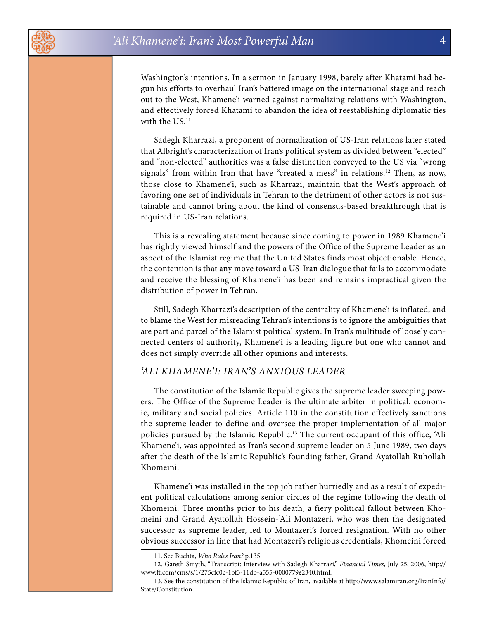Washington's intentions. In a sermon in January 1998, barely after Khatami had begun his efforts to overhaul Iran's battered image on the international stage and reach out to the West, Khamene'i warned against normalizing relations with Washington, and effectively forced Khatami to abandon the idea of reestablishing diplomatic ties with the US.<sup>11</sup>

Sadegh Kharrazi, a proponent of normalization of US-Iran relations later stated that Albright's characterization of Iran's political system as divided between "elected" and "non-elected" authorities was a false distinction conveyed to the US via "wrong signals" from within Iran that have "created a mess" in relations.<sup>12</sup> Then, as now, those close to Khamene'i, such as Kharrazi, maintain that the West's approach of favoring one set of individuals in Tehran to the detriment of other actors is not sustainable and cannot bring about the kind of consensus-based breakthrough that is required in US-Iran relations.

This is a revealing statement because since coming to power in 1989 Khamene'i has rightly viewed himself and the powers of the Office of the Supreme Leader as an aspect of the Islamist regime that the United States finds most objectionable. Hence, the contention is that any move toward a US-Iran dialogue that fails to accommodate and receive the blessing of Khamene'i has been and remains impractical given the distribution of power in Tehran.

Still, Sadegh Kharrazi's description of the centrality of Khamene'i is inflated, and to blame the West for misreading Tehran's intentions is to ignore the ambiguities that are part and parcel of the Islamist political system. In Iran's multitude of loosely connected centers of authority, Khamene'i is a leading figure but one who cannot and does not simply override all other opinions and interests.

#### *'Ali Khamene'i: Iran's Anxious Leader*

The constitution of the Islamic Republic gives the supreme leader sweeping powers. The Office of the Supreme Leader is the ultimate arbiter in political, economic, military and social policies. Article 110 in the constitution effectively sanctions the supreme leader to define and oversee the proper implementation of all major policies pursued by the Islamic Republic.<sup>13</sup> The current occupant of this office, 'Ali Khamene'i, was appointed as Iran's second supreme leader on 5 June 1989, two days after the death of the Islamic Republic's founding father, Grand Ayatollah Ruhollah Khomeini.

Khamene'i was installed in the top job rather hurriedly and as a result of expedient political calculations among senior circles of the regime following the death of Khomeini. Three months prior to his death, a fiery political fallout between Khomeini and Grand Ayatollah Hossein-'Ali Montazeri, who was then the designated successor as supreme leader, led to Montazeri's forced resignation. With no other obvious successor in line that had Montazeri's religious credentials, Khomeini forced

<sup>11.</sup> See Buchta, *Who Rules Iran?* p.135.

<sup>12.</sup> Gareth Smyth, "Transcript: Interview with Sadegh Kharrazi," *Financial Times*, July 25, 2006, http:// www.ft.com/cms/s/1/275cfc0c-1bf3-11db-a555-0000779e2340.html.

<sup>13.</sup> See the constitution of the Islamic Republic of Iran, available at http://www.salamiran.org/IranInfo/ State/Constitution.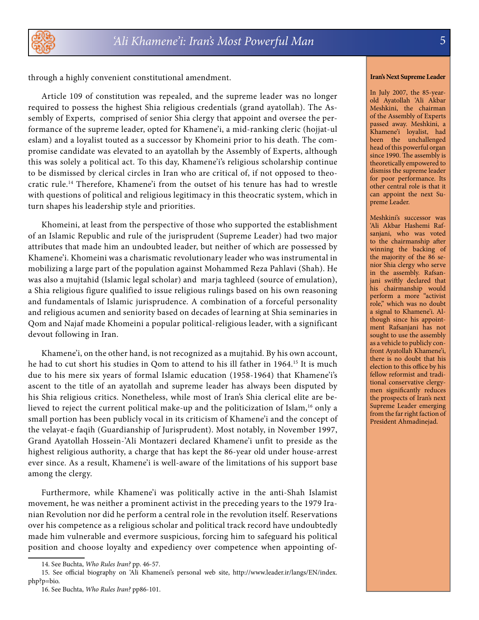

through a highly convenient constitutional amendment.

Article 109 of constitution was repealed, and the supreme leader was no longer required to possess the highest Shia religious credentials (grand ayatollah). The Assembly of Experts, comprised of senior Shia clergy that appoint and oversee the performance of the supreme leader, opted for Khamene'i, a mid-ranking cleric (hojjat-ul eslam) and a loyalist touted as a successor by Khomeini prior to his death. The compromise candidate was elevated to an ayatollah by the Assembly of Experts, although this was solely a political act. To this day, Khamene'i's religious scholarship continue to be dismissed by clerical circles in Iran who are critical of, if not opposed to theocratic rule.14 Therefore, Khamene'i from the outset of his tenure has had to wrestle with questions of political and religious legitimacy in this theocratic system, which in turn shapes his leadership style and priorities.

Khomeini, at least from the perspective of those who supported the establishment of an Islamic Republic and rule of the jurisprudent (Supreme Leader) had two major attributes that made him an undoubted leader, but neither of which are possessed by Khamene'i. Khomeini was a charismatic revolutionary leader who was instrumental in mobilizing a large part of the population against Mohammed Reza Pahlavi (Shah). He was also a mujtahid (Islamic legal scholar) and marja taghleed (source of emulation), a Shia religious figure qualified to issue religious rulings based on his own reasoning and fundamentals of Islamic jurisprudence. A combination of a forceful personality and religious acumen and seniority based on decades of learning at Shia seminaries in Qom and Najaf made Khomeini a popular political-religious leader, with a significant devout following in Iran.

Khamene'i, on the other hand, is not recognized as a mujtahid. By his own account, he had to cut short his studies in Qom to attend to his ill father in 1964.<sup>15</sup> It is much due to his mere six years of formal Islamic education (1958-1964) that Khamene'i's ascent to the title of an ayatollah and supreme leader has always been disputed by his Shia religious critics. Nonetheless, while most of Iran's Shia clerical elite are believed to reject the current political make-up and the politicization of Islam,<sup>16</sup> only a small portion has been publicly vocal in its criticism of Khamene'i and the concept of the velayat-e faqih (Guardianship of Jurisprudent). Most notably, in November 1997, Grand Ayatollah Hossein-'Ali Montazeri declared Khamene'i unfit to preside as the highest religious authority, a charge that has kept the 86-year old under house-arrest ever since. As a result, Khamene'i is well-aware of the limitations of his support base among the clergy.

Furthermore, while Khamene'i was politically active in the anti-Shah Islamist movement, he was neither a prominent activist in the preceding years to the 1979 Iranian Revolution nor did he perform a central role in the revolution itself. Reservations over his competence as a religious scholar and political track record have undoubtedly made him vulnerable and evermore suspicious, forcing him to safeguard his political position and choose loyalty and expediency over competence when appointing of-

#### **Iran's Next Supreme Leader**

In July 2007, the 85-yearold Ayatollah 'Ali Akbar Meshkini, the chairman of the Assembly of Experts passed away. Meshkini, a Khamene'i loyalist, had been the unchallenged head of this powerful organ since 1990. The assembly is theoretically empowered to dismiss the supreme leader for poor performance. Its other central role is that it can appoint the next Supreme Leader.

Meshkini's successor was 'Ali Akbar Hashemi Rafsanjani, who was voted to the chairmanship after winning the backing of the majority of the 86 senior Shia clergy who serve in the assembly. Rafsanjani swiftly declared that his chairmanship would perform a more "activist role," which was no doubt a signal to Khamene'i. Although since his appointment Rafsanjani has not sought to use the assembly as a vehicle to publicly confront Ayatollah Khamene'i, there is no doubt that his election to this office by his fellow reformist and traditional conservative clergymen significantly reduces the prospects of Iran's next Supreme Leader emerging from the far right faction of President Ahmadinejad.

<sup>14.</sup> See Buchta, *Who Rules Iran?* pp. 46-57.

<sup>15.</sup> See official biography on 'Ali Khamenei's personal web site, http://www.leader.ir/langs/EN/index. php?p=bio.

<sup>16.</sup> See Buchta, *Who Rules Iran?* pp86-101.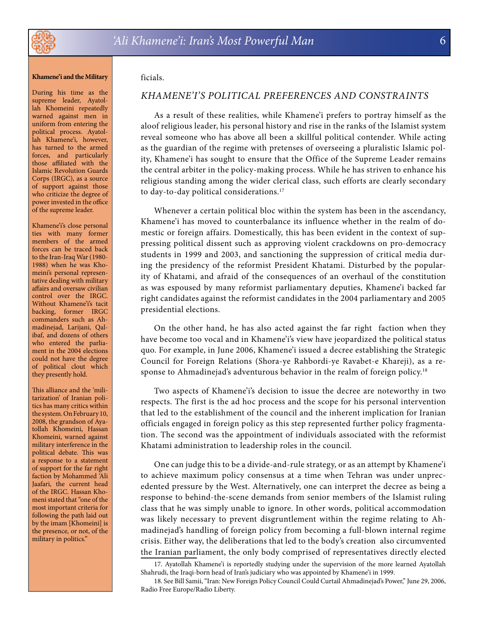

#### **Khamene'i and the Military**

During his time as the supreme leader, Ayatollah Khomeini repeatedly warned against men in uniform from entering the political process. Ayatollah Khamene'i, however, has turned to the armed forces, and particularly those affiliated with the Islamic Revolution Guards Corps (IRGC), as a source of support against those who criticize the degree of power invested in the office of the supreme leader.

Khamene'i's close personal ties with many former members of the armed forces can be traced back to the Iran-Iraq War (1980- 1988) when he was Khomeini's personal representative dealing with military affairs and oversaw civilian control over the IRGC. Without Khamene'i's tacit backing, former IRGC commanders such as Ahmadinejad, Larijani, Qalibaf, and dozens of others who entered the parliament in the 2004 elections could not have the degree of political clout which they presently hold.

This alliance and the 'militarization' of Iranian politics has many critics within the system. On February 10, 2008, the grandson of Ayatollah Khomeini, Hassan Khomeini, warned against military interference in the political debate. This was a response to a statement of support for the far right faction by Mohammed 'Ali Jaafari, the current head of the IRGC. Hassan Khomeni stated that "one of the most important criteria for following the path laid out by the imam [Khomeini] is the presence, or not, of the military in politics."

#### ficials.

#### *Khamene'i's Political Preferences and Constraints*

As a result of these realities, while Khamene'i prefers to portray himself as the aloof religious leader, his personal history and rise in the ranks of the Islamist system reveal someone who has above all been a skillful political contender. While acting as the guardian of the regime with pretenses of overseeing a pluralistic Islamic polity, Khamene'i has sought to ensure that the Office of the Supreme Leader remains the central arbiter in the policy-making process. While he has striven to enhance his religious standing among the wider clerical class, such efforts are clearly secondary to day-to-day political considerations.<sup>17</sup>

Whenever a certain political bloc within the system has been in the ascendancy, Khamene'i has moved to counterbalance its influence whether in the realm of domestic or foreign affairs. Domestically, this has been evident in the context of suppressing political dissent such as approving violent crackdowns on pro-democracy students in 1999 and 2003, and sanctioning the suppression of critical media during the presidency of the reformist President Khatami. Disturbed by the popularity of Khatami, and afraid of the consequences of an overhaul of the constitution as was espoused by many reformist parliamentary deputies, Khamene'i backed far right candidates against the reformist candidates in the 2004 parliamentary and 2005 presidential elections.

On the other hand, he has also acted against the far right faction when they have become too vocal and in Khamene'i's view have jeopardized the political status quo. For example, in June 2006, Khamene'i issued a decree establishing the Strategic Council for Foreign Relations (Shora-ye Rahbordi-ye Ravabet-e Khareji), as a response to Ahmadinejad's adventurous behavior in the realm of foreign policy.<sup>18</sup>

Two aspects of Khamene'i's decision to issue the decree are noteworthy in two respects. The first is the ad hoc process and the scope for his personal intervention that led to the establishment of the council and the inherent implication for Iranian officials engaged in foreign policy as this step represented further policy fragmentation. The second was the appointment of individuals associated with the reformist Khatami administration to leadership roles in the council.

One can judge this to be a divide-and-rule strategy, or as an attempt by Khamene'i to achieve maximum policy consensus at a time when Tehran was under unprecedented pressure by the West. Alternatively, one can interpret the decree as being a response to behind-the-scene demands from senior members of the Islamist ruling class that he was simply unable to ignore. In other words, political accommodation was likely necessary to prevent disgruntlement within the regime relating to Ahmadinejad's handling of foreign policy from becoming a full-blown internal regime crisis. Either way, the deliberations that led to the body's creation also circumvented the Iranian parliament, the only body comprised of representatives directly elected

<sup>17.</sup> Ayatollah Khamene'i is reportedly studying under the supervision of the more learned Ayatollah Shahrudi, the Iraqi-born head of Iran's judiciary who was appointed by Khamene'i in 1999.

<sup>18.</sup> See Bill Samii, "Iran: New Foreign Policy Council Could Curtail Ahmadinejad's Power," June 29, 2006, Radio Free Europe/Radio Liberty.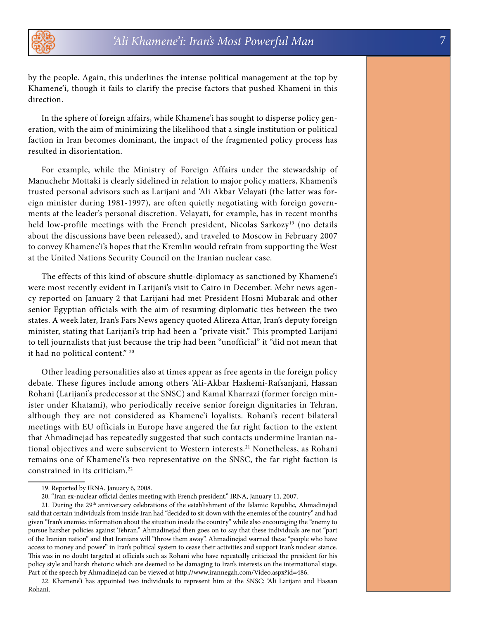by the people. Again, this underlines the intense political management at the top by Khamene'i, though it fails to clarify the precise factors that pushed Khameni in this direction.

In the sphere of foreign affairs, while Khamene'i has sought to disperse policy generation, with the aim of minimizing the likelihood that a single institution or political faction in Iran becomes dominant, the impact of the fragmented policy process has resulted in disorientation.

For example, while the Ministry of Foreign Affairs under the stewardship of Manuchehr Mottaki is clearly sidelined in relation to major policy matters, Khameni's trusted personal advisors such as Larijani and 'Ali Akbar Velayati (the latter was foreign minister during 1981-1997), are often quietly negotiating with foreign governments at the leader's personal discretion. Velayati, for example, has in recent months held low-profile meetings with the French president, Nicolas Sarkozy<sup>19</sup> (no details about the discussions have been released), and traveled to Moscow in February 2007 to convey Khamene'i's hopes that the Kremlin would refrain from supporting the West at the United Nations Security Council on the Iranian nuclear case.

The effects of this kind of obscure shuttle-diplomacy as sanctioned by Khamene'i were most recently evident in Larijani's visit to Cairo in December. Mehr news agency reported on January 2 that Larijani had met President Hosni Mubarak and other senior Egyptian officials with the aim of resuming diplomatic ties between the two states. A week later, Iran's Fars News agency quoted Alireza Attar, Iran's deputy foreign minister, stating that Larijani's trip had been a "private visit." This prompted Larijani to tell journalists that just because the trip had been "unofficial" it "did not mean that it had no political content." 20

Other leading personalities also at times appear as free agents in the foreign policy debate. These figures include among others 'Ali-Akbar Hashemi-Rafsanjani, Hassan Rohani (Larijani's predecessor at the SNSC) and Kamal Kharrazi (former foreign minister under Khatami), who periodically receive senior foreign dignitaries in Tehran, although they are not considered as Khamene'i loyalists. Rohani's recent bilateral meetings with EU officials in Europe have angered the far right faction to the extent that Ahmadinejad has repeatedly suggested that such contacts undermine Iranian national objectives and were subservient to Western interests.<sup>21</sup> Nonetheless, as Rohani remains one of Khamene'i's two representative on the SNSC, the far right faction is constrained in its criticism.22

<sup>19.</sup> Reported by IRNA, January 6, 2008.

<sup>20. &</sup>quot;Iran ex-nuclear official denies meeting with French president," IRNA, January 11, 2007.

<sup>21.</sup> During the 29<sup>th</sup> anniversary celebrations of the establishment of the Islamic Republic, Ahmadinejad said that certain individuals from inside Iran had "decided to sit down with the enemies of the country" and had given "Iran's enemies information about the situation inside the country" while also encouraging the "enemy to pursue harsher policies against Tehran." Ahmadinejad then goes on to say that these individuals are not "part of the Iranian nation" and that Iranians will "throw them away". Ahmadinejad warned these "people who have access to money and power" in Iran's political system to cease their activities and support Iran's nuclear stance. This was in no doubt targeted at officials such as Rohani who have repeatedly criticized the president for his policy style and harsh rhetoric which are deemed to be damaging to Iran's interests on the international stage. Part of the speech by Ahmadinejad can be viewed at http://www.irannegah.com/Video.aspx?id=486.

<sup>22.</sup> Khamene'i has appointed two individuals to represent him at the SNSC: 'Ali Larijani and Hassan Rohani.